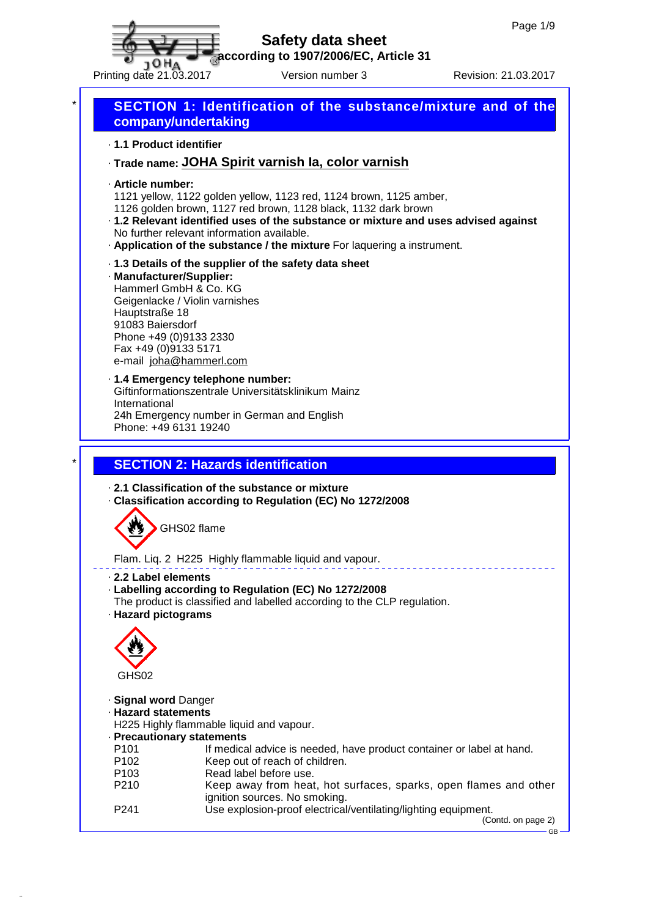

**according to 1907/2006/EC, Article 31**

Printing date 21.03.2017 Version number 3 Revision: 21.03.2017

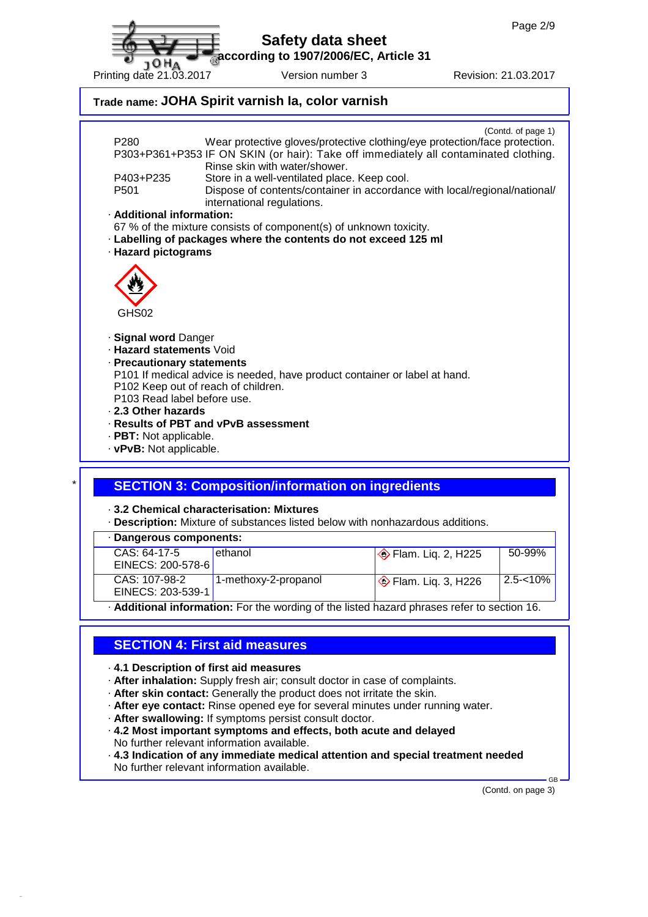**according to 1907/2006/EC, Article 31**

| Trade name: JOHA Spirit varnish Ia, color varnish |  |
|---------------------------------------------------|--|

rsion number 3 Revision: 21.03.2017

| P <sub>280</sub>                                        | (Contd. of page 1)<br>Wear protective gloves/protective clothing/eye protection/face protection.                      |
|---------------------------------------------------------|-----------------------------------------------------------------------------------------------------------------------|
|                                                         | P303+P361+P353 IF ON SKIN (or hair): Take off immediately all contaminated clothing.<br>Rinse skin with water/shower. |
| P403+P235                                               | Store in a well-ventilated place. Keep cool.                                                                          |
| P <sub>501</sub>                                        | Dispose of contents/container in accordance with local/regional/national/<br>international regulations.               |
| · Additional information:                               |                                                                                                                       |
|                                                         | 67 % of the mixture consists of component(s) of unknown toxicity.                                                     |
|                                                         | · Labelling of packages where the contents do not exceed 125 ml                                                       |
| · Hazard pictograms                                     |                                                                                                                       |
|                                                         |                                                                                                                       |
| GHS02                                                   |                                                                                                                       |
| · Signal word Danger                                    |                                                                                                                       |
| . Hazard statements Void                                |                                                                                                                       |
| · Precautionary statements                              |                                                                                                                       |
|                                                         | P101 If medical advice is needed, have product container or label at hand.                                            |
|                                                         |                                                                                                                       |
|                                                         | P102 Keep out of reach of children.                                                                                   |
| P <sub>103</sub> Read label before use.                 |                                                                                                                       |
|                                                         |                                                                                                                       |
| 2.3 Other hazards                                       |                                                                                                                       |
|                                                         | · Results of PBT and vPvB assessment                                                                                  |
| · PBT: Not applicable.<br>$\cdot$ vPvB: Not applicable. |                                                                                                                       |

### \* **SECTION 3: Composition/information on ingredients**

#### · **3.2 Chemical characterisation: Mixtures**

· **Description:** Mixture of substances listed below with nonhazardous additions.

|  | · Dangerous components: |  |  |
|--|-------------------------|--|--|
|--|-------------------------|--|--|

| $CAS: 64-17-5$                     | ethanol              | $\circ$ Flam. Lig. 2, H225 | 50-99%         |
|------------------------------------|----------------------|----------------------------|----------------|
| EINECS: 200-578-6                  |                      |                            |                |
| CAS: 107-98-2<br>EINECS: 203-539-1 | 1-methoxy-2-propanol | $\circ$ Flam. Lig. 3, H226 | $ 2.5 - 10\% $ |
|                                    |                      |                            |                |

· **Additional information:** For the wording of the listed hazard phrases refer to section 16.

## **SECTION 4: First aid measures**

#### · **4.1 Description of first aid measures**

- · **After inhalation:** Supply fresh air; consult doctor in case of complaints.
- · **After skin contact:** Generally the product does not irritate the skin.
- · **After eye contact:** Rinse opened eye for several minutes under running water.
- · **After swallowing:** If symptoms persist consult doctor.
- · **4.2 Most important symptoms and effects, both acute and delayed** No further relevant information available.
- · **4.3 Indication of any immediate medical attention and special treatment needed** No further relevant information available.

(Contd. on page 3)

GB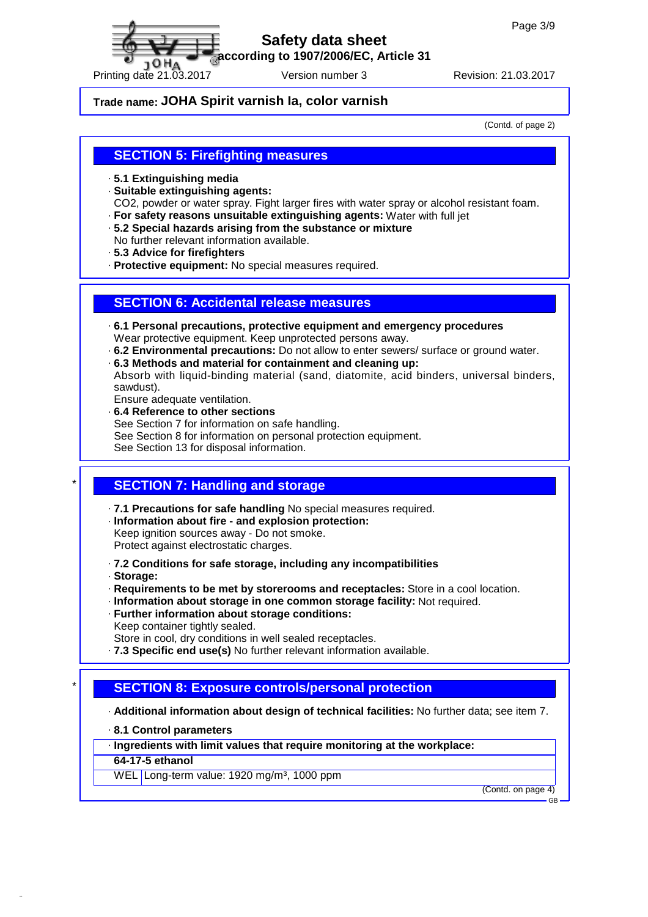**according to 1907/2006/EC, Article 31**

## **Trade name: JOHA Spirit varnish Ia, color varnish**

(Contd. of page 2)

## **SECTION 5: Firefighting measures**

- · **5.1 Extinguishing media**
- · **Suitable extinguishing agents:**
- CO2, powder or water spray. Fight larger fires with water spray or alcohol resistant foam.
- · **For safety reasons unsuitable extinguishing agents:** Water with full jet
- · **5.2 Special hazards arising from the substance or mixture**
- No further relevant information available.
- · **5.3 Advice for firefighters**
- · **Protective equipment:** No special measures required.

### **SECTION 6: Accidental release measures**

- · **6.1 Personal precautions, protective equipment and emergency procedures** Wear protective equipment. Keep unprotected persons away.
- · **6.2 Environmental precautions:** Do not allow to enter sewers/ surface or ground water.
- · **6.3 Methods and material for containment and cleaning up:**

Absorb with liquid-binding material (sand, diatomite, acid binders, universal binders, sawdust).

- Ensure adequate ventilation.
- · **6.4 Reference to other sections**
- See Section 7 for information on safe handling.
- See Section 8 for information on personal protection equipment.
- See Section 13 for disposal information.

## \* **SECTION 7: Handling and storage**

- · **7.1 Precautions for safe handling** No special measures required.
- · **Information about fire and explosion protection:** Keep ignition sources away - Do not smoke.
- Protect against electrostatic charges.
- · **7.2 Conditions for safe storage, including any incompatibilities**
- · **Storage:**
- · **Requirements to be met by storerooms and receptacles:** Store in a cool location.
- · **Information about storage in one common storage facility:** Not required.
- · **Further information about storage conditions:** Keep container tightly sealed.
- 
- Store in cool, dry conditions in well sealed receptacles.
- · **7.3 Specific end use(s)** No further relevant information available.

## \* **SECTION 8: Exposure controls/personal protection**

- · **Additional information about design of technical facilities:** No further data; see item 7.
- · **8.1 Control parameters**

· **Ingredients with limit values that require monitoring at the workplace:**

### **64-17-5 ethanol**

WEL Long-term value: 1920 mg/m<sup>3</sup>, 1000 ppm

(Contd. on page 4)

GB

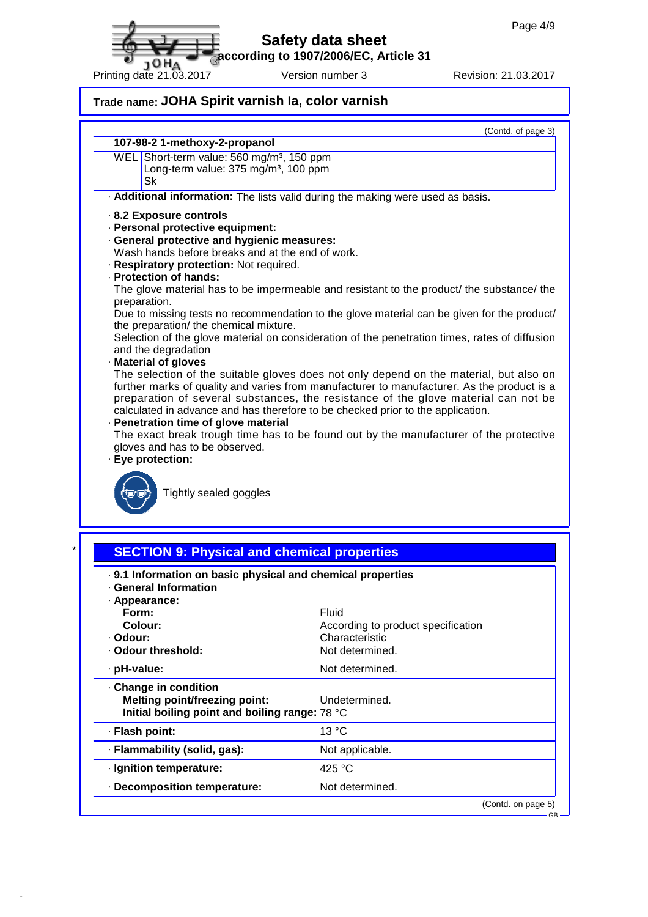**according to 1907/2006/EC, Article 31**

10 HA Printing date 21.03.2017 Version number 3 Revision: 21.03.2017

# **Trade name: JOHA Spirit varnish Ia, color varnish**

(Contd. of page 3)

### **107-98-2 1-methoxy-2-propanol**

WEL Short-term value: 560 mg/m<sup>3</sup>, 150 ppm Long-term value: 375 mg/m<sup>3</sup>, 100 ppm Sk

· **Additional information:** The lists valid during the making were used as basis.

### · **8.2 Exposure controls**

· **Personal protective equipment:**

· **General protective and hygienic measures:**

Wash hands before breaks and at the end of work.

- · **Respiratory protection:** Not required.
- · **Protection of hands:**

The glove material has to be impermeable and resistant to the product/ the substance/ the preparation.

Due to missing tests no recommendation to the glove material can be given for the product/ the preparation/ the chemical mixture.

Selection of the glove material on consideration of the penetration times, rates of diffusion and the degradation

### · **Material of gloves**

The selection of the suitable gloves does not only depend on the material, but also on further marks of quality and varies from manufacturer to manufacturer. As the product is a preparation of several substances, the resistance of the glove material can not be calculated in advance and has therefore to be checked prior to the application.

### · **Penetration time of glove material**

The exact break trough time has to be found out by the manufacturer of the protective gloves and has to be observed.

· **Eye protection:**



Tightly sealed goggles

· **Flash point:** 13 °C

· **Decomposition temperature:** Not determined.

| . 9.1 Information on basic physical and chemical properties<br><b>General Information</b> |                                    |
|-------------------------------------------------------------------------------------------|------------------------------------|
| · Appearance:<br>Form:                                                                    | Fluid                              |
| Colour:                                                                                   | According to product specification |
| · Odour:                                                                                  | Characteristic                     |
| Odour threshold:                                                                          | Not determined.                    |
| · pH-value:                                                                               | Not determined.                    |
| Change in condition                                                                       |                                    |
| <b>Melting point/freezing point:</b>                                                      | Undetermined.                      |
| Initial boiling point and boiling range: 78 °C                                            |                                    |

· **Flammability (solid, gas):** Not applicable. · **Ignition temperature:** 425 °C

(Contd. on page 5)

GB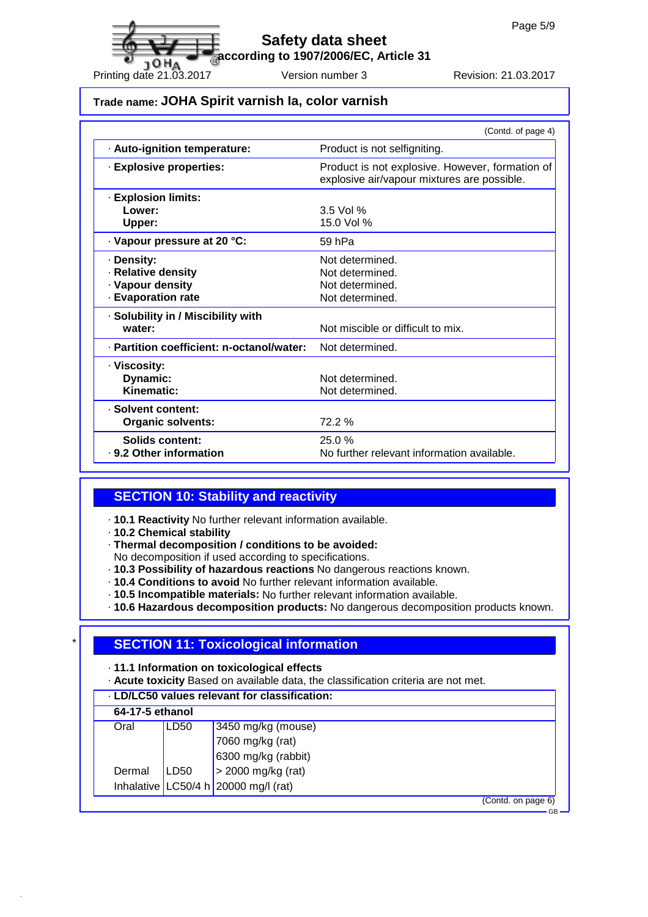GB

# **Safety data sheet**

**according to 1907/2006/EC, Article 31**

10 HA Printing date 21.03.2017 Version number 3 Revision: 21.03.2017

# **Trade name: JOHA Spirit varnish Ia, color varnish**

|                                                                            | (Contd. of page 4)                                                                             |
|----------------------------------------------------------------------------|------------------------------------------------------------------------------------------------|
| · Auto-ignition temperature:                                               | Product is not selfigniting.                                                                   |
| · Explosive properties:                                                    | Product is not explosive. However, formation of<br>explosive air/vapour mixtures are possible. |
| <b>Explosion limits:</b><br>Lower:<br>Upper:                               | $3.5$ Vol %<br>15.0 Vol %                                                                      |
| · Vapour pressure at 20 °C:                                                | $59$ hPa                                                                                       |
| · Density:<br>· Relative density<br>· Vapour density<br>- Evaporation rate | Not determined.<br>Not determined.<br>Not determined.<br>Not determined.                       |
| · Solubility in / Miscibility with<br>water:                               | Not miscible or difficult to mix.                                                              |
| · Partition coefficient: n-octanol/water:                                  | Not determined.                                                                                |
| · Viscosity:<br>Dynamic:<br>Kinematic:                                     | Not determined.<br>Not determined.                                                             |
| · Solvent content:<br><b>Organic solvents:</b>                             | 72.2 %                                                                                         |
| Solids content:<br>. 9.2 Other information                                 | 25.0%<br>No further relevant information available.                                            |

## **SECTION 10: Stability and reactivity**

- · **10.1 Reactivity** No further relevant information available.
- · **10.2 Chemical stability**
- · **Thermal decomposition / conditions to be avoided:**
- No decomposition if used according to specifications.
- · **10.3 Possibility of hazardous reactions** No dangerous reactions known.
- · **10.4 Conditions to avoid** No further relevant information available.
- · **10.5 Incompatible materials:** No further relevant information available.
- · **10.6 Hazardous decomposition products:** No dangerous decomposition products known.

# \* **SECTION 11: Toxicological information**

· **11.1 Information on toxicological effects**

· **Acute toxicity** Based on available data, the classification criteria are not met.

| <b>LD/LC50 values relevant for classification:</b> |                  |                                        |  |
|----------------------------------------------------|------------------|----------------------------------------|--|
| 64-17-5 ethanol                                    |                  |                                        |  |
| Oral                                               | LD50             | 3450 mg/kg (mouse)                     |  |
|                                                    |                  | 7060 mg/kg (rat)                       |  |
|                                                    |                  | 6300 mg/kg (rabbit)                    |  |
| Dermal                                             | LD <sub>50</sub> | > 2000 mg/kg (rat)                     |  |
|                                                    |                  | Inhalative LC50/4 h $20000$ mg/l (rat) |  |
|                                                    |                  | (Contd. on page 6)                     |  |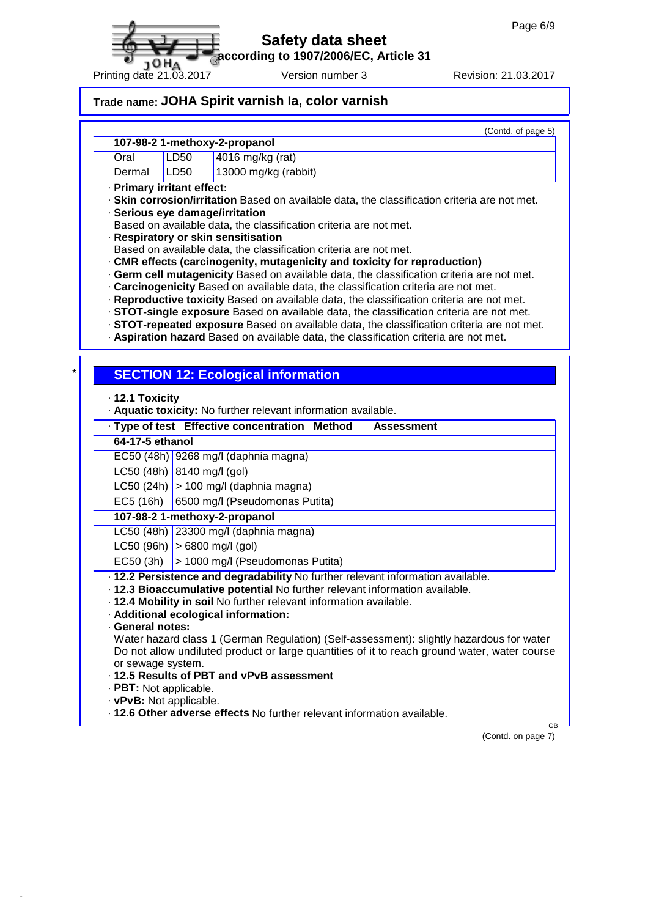

**according to 1907/2006/EC, Article 31**

# **Trade name: JOHA Spirit varnish Ia, color varnish**

(Contd. of page 5)

| 107-98-2 1-methoxy-2-propanol |  |
|-------------------------------|--|
|-------------------------------|--|

Oral LD50 4016 mg/kg (rat)

Dermal LD50 13000 mg/kg (rabbit)

· **Primary irritant effect:**

· **Skin corrosion/irritation** Based on available data, the classification criteria are not met.

· **Serious eye damage/irritation**

Based on available data, the classification criteria are not met.

· **Respiratory or skin sensitisation**

Based on available data, the classification criteria are not met.

· **CMR effects (carcinogenity, mutagenicity and toxicity for reproduction)**

· **Germ cell mutagenicity** Based on available data, the classification criteria are not met.

· **Carcinogenicity** Based on available data, the classification criteria are not met.

· **Reproductive toxicity** Based on available data, the classification criteria are not met.

· **STOT-single exposure** Based on available data, the classification criteria are not met.

· **STOT-repeated exposure** Based on available data, the classification criteria are not met.

· **Aspiration hazard** Based on available data, the classification criteria are not met.

# **SECTION 12: Ecological information**

· **12.1 Toxicity**

· **Aquatic toxicity:** No further relevant information available.

| · Type of test Effective concentration Method<br><b>Assessment</b>                                                                                             |                                                                                          |  |
|----------------------------------------------------------------------------------------------------------------------------------------------------------------|------------------------------------------------------------------------------------------|--|
| 64-17-5 ethanol                                                                                                                                                |                                                                                          |  |
|                                                                                                                                                                | EC50 (48h) 9268 mg/l (daphnia magna)                                                     |  |
|                                                                                                                                                                | $LC50$ (48h) 8140 mg/l (gol)                                                             |  |
|                                                                                                                                                                | LC50 (24h) $\vert$ > 100 mg/l (daphnia magna)                                            |  |
|                                                                                                                                                                | EC5 (16h) 6500 mg/l (Pseudomonas Putita)                                                 |  |
|                                                                                                                                                                | 107-98-2 1-methoxy-2-propanol                                                            |  |
|                                                                                                                                                                | LC50 (48h) 23300 mg/l (daphnia magna)                                                    |  |
|                                                                                                                                                                | $LC50 (96h) > 6800$ mg/l (gol)                                                           |  |
|                                                                                                                                                                | $EC50$ (3h) $\vert$ > 1000 mg/l (Pseudomonas Putita)                                     |  |
| . 12.2 Persistence and degradability No further relevant information available.<br>. 12.3 Bioaccumulative potential No further relevant information available. |                                                                                          |  |
|                                                                                                                                                                | . 12.4 Mobility in soil No further relevant information available.                       |  |
| · Additional ecological information:                                                                                                                           |                                                                                          |  |
| · General notes:                                                                                                                                               |                                                                                          |  |
|                                                                                                                                                                | Water hazard class 1 (German Regulation) (Self-assessment): slightly hazardous for water |  |
| Do not allow undiluted product or large quantities of it to reach ground water, water course<br>or sewage system.                                              |                                                                                          |  |

· **12.5 Results of PBT and vPvB assessment**

· **PBT:** Not applicable.

· **vPvB:** Not applicable.

· **12.6 Other adverse effects** No further relevant information available.

(Contd. on page 7)

**GB**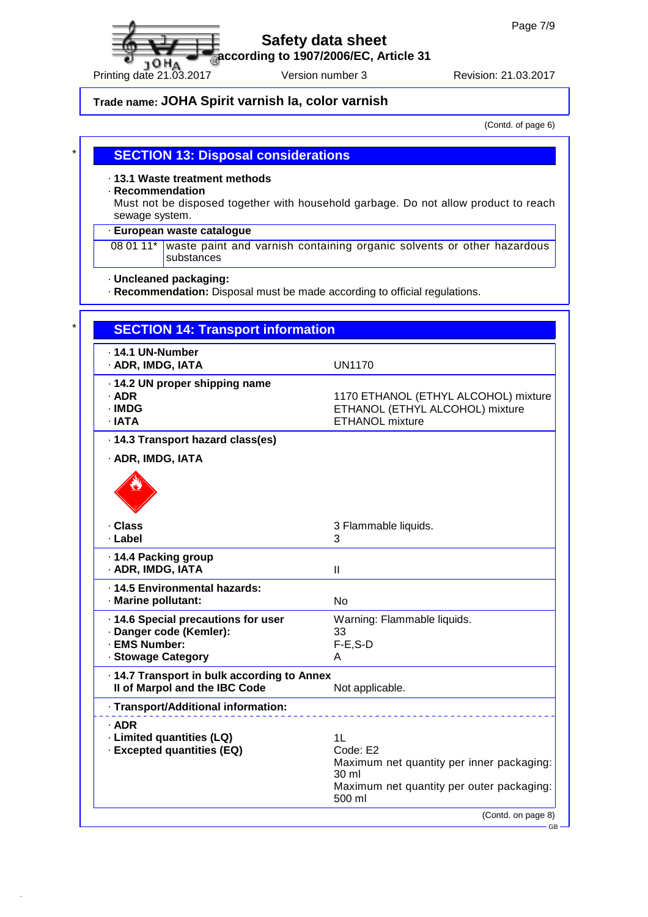**according to 1907/2006/EC, Article 31**

# **Trade name: JOHA Spirit varnish Ia, color varnish**

(Contd. of page 6)

### \* **SECTION 13: Disposal considerations**

· **13.1 Waste treatment methods**

· **Recommendation**

Must not be disposed together with household garbage. Do not allow product to reach sewage system.

### · **European waste catalogue**

08 01 11\* waste paint and varnish containing organic solvents or other hazardous substances

· **Uncleaned packaging:**

· **Recommendation:** Disposal must be made according to official regulations.

| <b>SECTION 14: Transport information</b>                                                              |                                                                                                                             |
|-------------------------------------------------------------------------------------------------------|-----------------------------------------------------------------------------------------------------------------------------|
| . 14.1 UN-Number<br>· ADR, IMDG, IATA                                                                 | <b>UN1170</b>                                                                                                               |
| · 14.2 UN proper shipping name<br>$·$ ADR<br>· IMDG<br>· IATA                                         | 1170 ETHANOL (ETHYL ALCOHOL) mixture<br>ETHANOL (ETHYL ALCOHOL) mixture<br><b>ETHANOL mixture</b>                           |
| · 14.3 Transport hazard class(es)                                                                     |                                                                                                                             |
| · ADR, IMDG, IATA                                                                                     |                                                                                                                             |
| · Class<br>· Label                                                                                    | 3 Flammable liquids.<br>3                                                                                                   |
| 14.4 Packing group<br>· ADR, IMDG, IATA                                                               | $\mathbf{I}$                                                                                                                |
| · 14.5 Environmental hazards:<br>· Marine pollutant:                                                  | No                                                                                                                          |
| · 14.6 Special precautions for user<br>· Danger code (Kemler):<br>· EMS Number:<br>· Stowage Category | Warning: Flammable liquids.<br>33<br>$F-E, S-D$<br>A                                                                        |
| · 14.7 Transport in bulk according to Annex<br>Il of Marpol and the IBC Code                          | Not applicable.                                                                                                             |
| · Transport/Additional information:                                                                   |                                                                                                                             |
| · ADR<br>· Limited quantities (LQ)<br>· Excepted quantities (EQ)                                      | 1L<br>Code: E2<br>Maximum net quantity per inner packaging:<br>30 ml<br>Maximum net quantity per outer packaging:<br>500 ml |
|                                                                                                       | (Contd. on page 8)                                                                                                          |

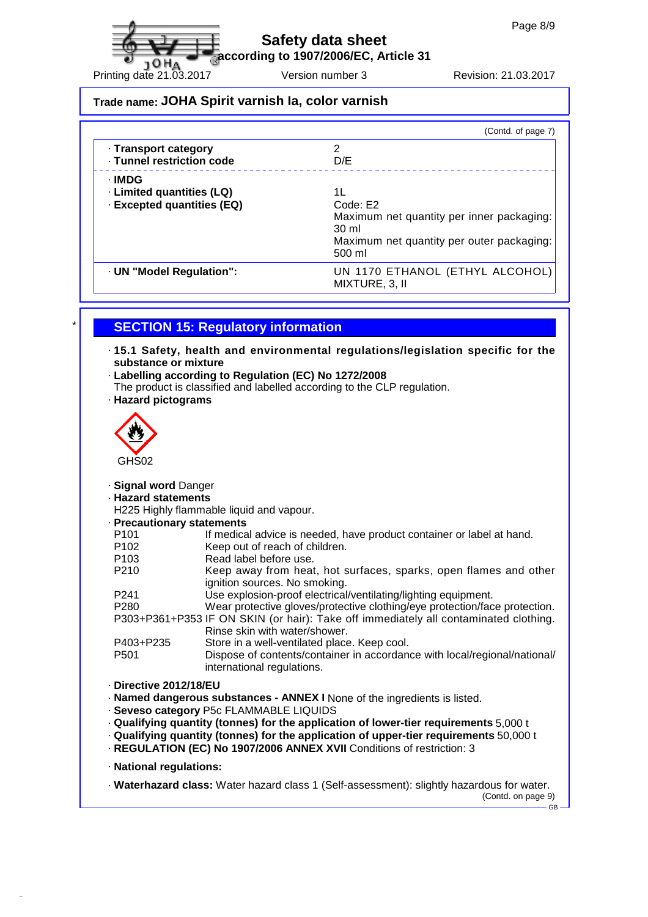**according to 1907/2006/EC, Article 31**

 $\bullet$  10H<sub>A</sub>  $\bullet$  10H<sub>A</sub> Wester the Version number 3 Revision: 21.03.2017

# **Trade name: JOHA Spirit varnish Ia, color varnish**

|                                                                   | (Contd. of page 7)                                                                                                                    |
|-------------------------------------------------------------------|---------------------------------------------------------------------------------------------------------------------------------------|
| · Transport category<br>· Tunnel restriction code                 | 2<br>D/E                                                                                                                              |
| · IMDG<br>· Limited quantities (LQ)<br>· Excepted quantities (EQ) | 11<br>Code: E2<br>Maximum net quantity per inner packaging:<br>$30 \text{ ml}$<br>Maximum net quantity per outer packaging:<br>500 ml |
| · UN "Model Regulation":                                          | UN 1170 ETHANOL (ETHYL ALCOHOL)<br>MIXTURE, 3, II                                                                                     |

# **SECTION 15: Regulatory information**

### · **15.1 Safety, health and environmental regulations/legislation specific for the substance or mixture**

- · **Labelling according to Regulation (EC) No 1272/2008**
- The product is classified and labelled according to the CLP regulation.

### · **Hazard pictograms**



### · **Signal word** Danger

#### · **Hazard statements**

H225 Highly flammable liquid and vapour.

### · **Precautionary statements**

| · Precautionary statements                                             |                                                                                        |  |  |
|------------------------------------------------------------------------|----------------------------------------------------------------------------------------|--|--|
| P <sub>101</sub>                                                       | If medical advice is needed, have product container or label at hand.                  |  |  |
| P <sub>102</sub>                                                       | Keep out of reach of children.                                                         |  |  |
| P <sub>103</sub>                                                       | Read label before use.                                                                 |  |  |
| P <sub>210</sub>                                                       | Keep away from heat, hot surfaces, sparks, open flames and other                       |  |  |
|                                                                        | ignition sources. No smoking.                                                          |  |  |
| P <sub>241</sub>                                                       | Use explosion-proof electrical/ventilating/lighting equipment.                         |  |  |
| P <sub>280</sub>                                                       | Wear protective gloves/protective clothing/eye protection/face protection.             |  |  |
|                                                                        | P303+P361+P353 IF ON SKIN (or hair): Take off immediately all contaminated clothing.   |  |  |
|                                                                        | Rinse skin with water/shower.                                                          |  |  |
| P403+P235                                                              | Store in a well-ventilated place. Keep cool.                                           |  |  |
| P <sub>501</sub>                                                       | Dispose of contents/container in accordance with local/regional/national/              |  |  |
|                                                                        | international regulations.                                                             |  |  |
| Directive 2012/18/EU                                                   |                                                                                        |  |  |
|                                                                        | . Named dangerous substances - ANNEX I None of the ingredients is listed.              |  |  |
|                                                                        | · Seveso category P5c FLAMMABLE LIQUIDS                                                |  |  |
|                                                                        | . Qualifying quantity (tonnes) for the application of lower-tier requirements 5,000 t  |  |  |
|                                                                        |                                                                                        |  |  |
|                                                                        | . Qualifying quantity (tonnes) for the application of upper-tier requirements 50,000 t |  |  |
| - REGULATION (EC) No 1907/2006 ANNEX XVII Conditions of restriction: 3 |                                                                                        |  |  |

· **National regulations:**

· **Waterhazard class:** Water hazard class 1 (Self-assessment): slightly hazardous for water. (Contd. on page 9)

 $-$  GB  $-$